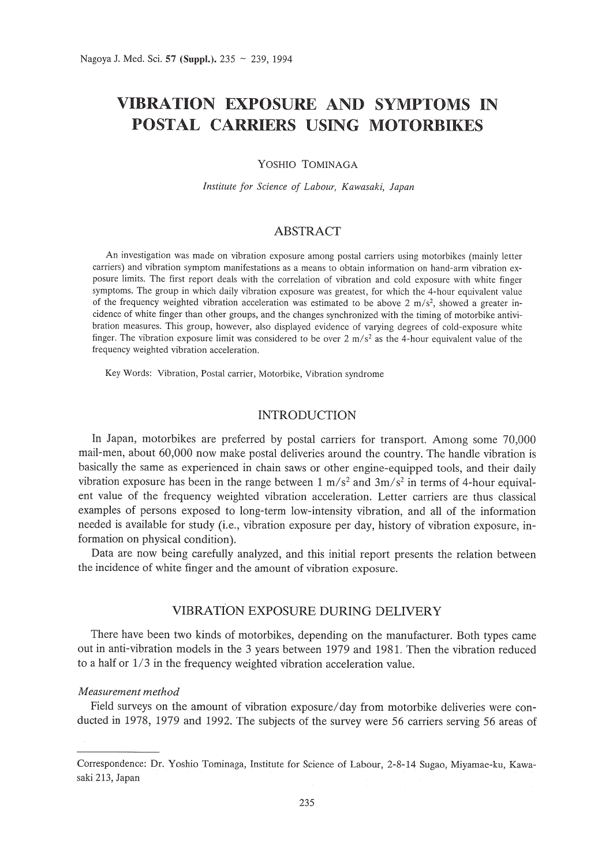# **VIBRATION EXPOSURE AND SYMPTOMS IN POSTAL CARRIERS USING MOTORBIKES**

### YOSHIO TOMINAGA

*Institute for Science of Labour, Kawasaki, Japan*

# **ABSTRACT**

An investigation was made on vibration exposure among postal carriers using motorbikes (mainly letter carriers) and vibration symptom manifestations as a means to obtain information on hand-arm vibration exposure limits. The first report deals with the correlation of vibration and cold exposure with white finger symptoms. The group in which daily vibration exposure was greatest, for which the 4-hour equivalent value of the frequency weighted vibration acceleration was estimated to be above 2 m/s<sup>2</sup>, showed a greater incidence of white finger than other groups, and the changes synchronized with the timing of motorbike antivibration measures. This group, however, also displayed evidence of varying degrees of cold-exposure white finger. The vibration exposure limit was considered to be over 2 m/s<sup>2</sup> as the 4-hour equivalent value of the frequency weighted vibration acceleration.

Key Words: Vibration, Postal carrier, Motorbike, Vibration syndrome

## **INTRODUCTION**

In Japan, motorbikes are preferred by postal carriers for transport. Among some 70,000 mail-men, about 60,000 now make postal deliveries around the country. The handle vibration is basically the same as experienced in chain saws or other engine-equipped tools, and their daily vibration exposure has been in the range between 1 m/s<sup>2</sup> and 3m/s<sup>2</sup> in terms of 4-hour equivalent value of the frequency weighted vibration acceleration. Letter carriers are thus classical examples of persons exposed to long-term low-intensity vibration, and all of the information needed is available for study (i.e., vibration exposure per day, history of vibration exposure, information on physical condition).

Data are now being carefully analyzed, and this initial report presents the relation between the incidence of white finger and the amount of vibration exposure.

## VIBRATION EXPOSURE DURING DELIVERY

There have been two kinds of motorbikes, depending on the manufacturer. Both types came out in anti-vibration models in the 3 years between 1979 and 1981. Then the vibration reduced to a half or 1/3 in the frequency weighted vibration acceleration value.

## *Measurement method*

Field surveys on the amount of vibration exposure/day from motorbike deliveries were conducted in 1978, 1979 and 1992. The subjects of the survey were 56 carriers serving 56 areas of

Correspondence: Dr. Yoshio Tominaga, Institute for Science of Labour, 2-8-14 Sugao, Miyamae-ku, Kawasaki 213, Japan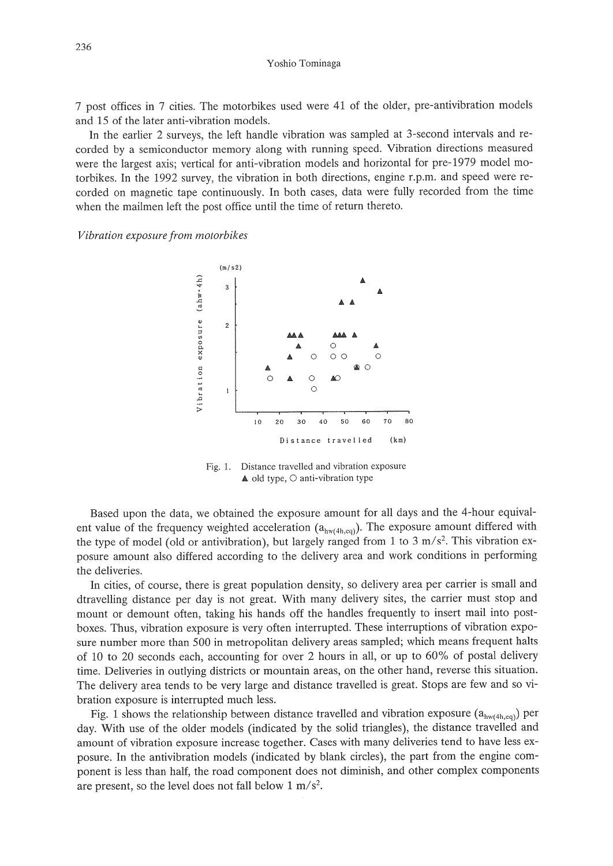Yoshio Tominaga

7 post offices in 7 cities. The motorbikes used were 41 of the older, pre-antivibration models and 15 of the later anti-vibration models.

In the earlier 2 surveys, the left handle vibration was sampled at 3-second intervals and recorded by a semiconductor memory along with running speed. Vibration directions measured were the largest axis; vertical for anti-vibration models and horizontal for pre-1979 model motorbikes. In the 1992 survey, the vibration in both directions, engine r.p.m. and speed were recorded on magnetic tape continuously. In both cases, data were fully recorded from the time when the mailmen left the post office until the time of return thereto.

*Vibration exposure from motorbikes*



Fig. 1. Distance travelled and vibration exposure  $\triangle$  old type,  $\bigcirc$  anti-vibration type

Based upon the data, we obtained the exposure amount for all days and the 4-hour equivalent value of the frequency weighted acceleration  $(a_{hw(4h,cq)})$ . The exposure amount differed with the type of model (old or antivibration), but largely ranged from 1 to 3 m/s<sup>2</sup>. This vibration exposure amount also differed according to the delivery area and work conditions in performing the deliveries.

In cities, of course, there is great population density, so delivery area per carrier is small and dtravelling distance per day is not great. With many delivery sites, the carrier must stop and mount or demount often, taking his hands off the handles frequently to insert mail into postboxes. Thus, vibration exposure is very often interrupted. These interruptions of vibration exposure number more than 500 in metropolitan delivery areas sampled; which means frequent halts of 10 to 20 seconds each, accounting for over 2 hours in all, or up to 60% of postal delivery time. Deliveries in outlying districts or mountain areas, on the other hand, reverse this situation. The delivery area tends to be very large and distance travelled is great. Stops are few and so vibration exposure is interrupted much less.

Fig. 1 shows the relationship between distance travelled and vibration exposure  $(a_{hw(4h,eq)})$  per day. With use of the older models (indicated by the solid triangles), the distance travelled and amount of vibration exposure increase together. Cases with many deliveries tend to have less exposure. In the antivibration models (indicated by blank circles), the part from the engine component is less than half, the road component does not diminish, and other complex components are present, so the level does not fall below  $1 \text{ m/s}^2$ .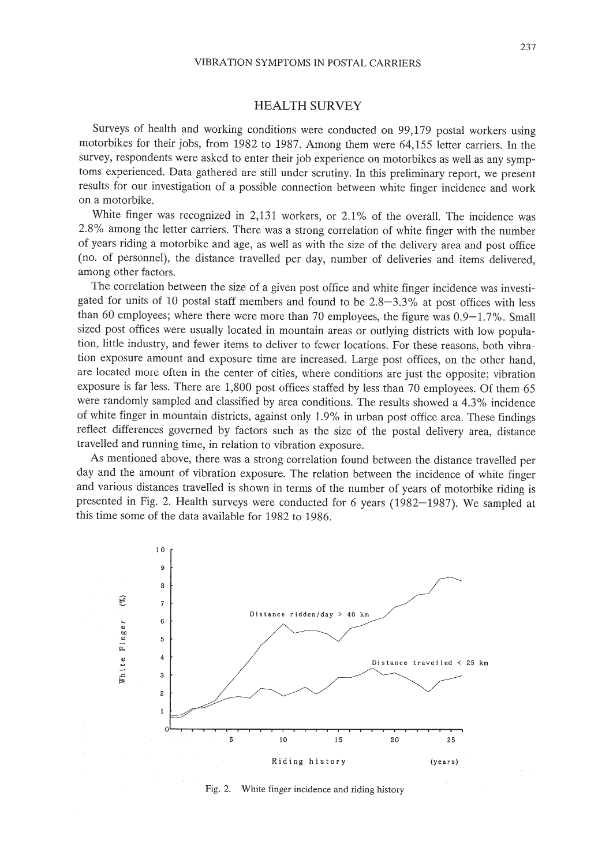## VIBRATION SYMPTOMS IN POSTAL CARRIERS

# HEALTH SURVEY

Surveys of health and working conditions were conducted on 99,179 postal workers using motorbikes for their jobs, from 1982 to 1987. Among them were 64,155 letter carriers. In the survey, respondents were asked to enter their job experience on motorbikes as well as any symptoms experienced. Data gathered are still under scrutiny. In this preliminary report, we present results for our investigation of a possible connection between white finger incidence and work on a motorbike.

White finger was recognized in 2,131 workers, or 2.1% of the overall. The incidence was 2.8% among the letter carriers. There was a strong correlation of white finger with the number of years riding a motorbike and age, as well as with the size of the delivery area and post office (no. of personnel), the distance travelled per day, number of deliveries and items delivered, among other factors.

The correlation between the size of a given post office and white finger incidence was investigated for units of 10 postal staff members and found to be 2.8-3.3% at post offices with less than 60 employees; where there were more than 70 employees, the figure was 0.9-1.7%. Small sized post offices were usually located in mountain areas or outlying districts with low population, little industry, and fewer items to deliver to fewer locations. For these reasons, both vibration exposure amount and exposure time are increased. Large post offices, on the other hand, are located more often in the center of cities, where conditions are just the opposite; vibration exposure is far less. There are 1,800 post offices staffed by less than 70 employees. Of them 65 were randomly sampled and classified by area conditions. The results showed a 4.3% incidence of white finger in mountain districts, against only 1.9% in urban post office area. These findings reflect differences governed by factors such as the size of the postal delivery area, distance travelled and running time, in relation to vibration exposure.

As mentioned above, there was a strong correlation found between the distance travelled per day and the amount of vibration exposure. The relation between the incidence of white finger and various distances travelled is shown in terms of the number of years of motorbike riding is presented in Fig. 2. Health surveys were conducted for 6 years (1982-1987). We sampled at this time some of the data available for 1982 to 1986.



Fig. 2. White finger incidence and riding history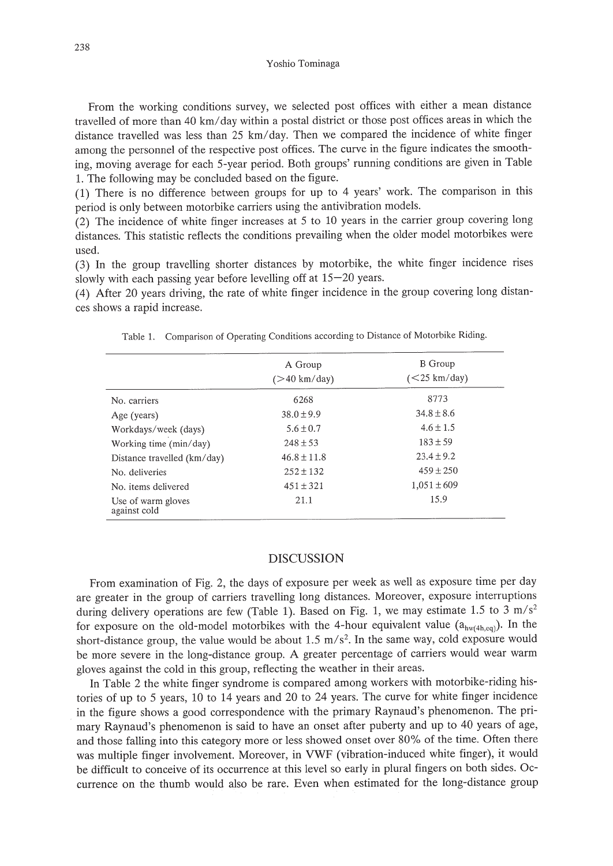#### Yoshio Tominaga

From the working conditions survey, we selected post offices with either a mean distance travelled of more than 40 km/day within a postal district or those post offices areas in which the distance travelled was less than 25 km/day. Then we compared the incidence of white finger among the personnel of the respective post offices. The curve in the figure indicates the smoothing, moving average for each 5-year period. Both groups' running conditions are given in Table 1. The following may be concluded based on the figure.

(1) There is no difference between groups for up to 4 years' work. The comparison in this period is only between motorbike carriers using the antivibration models.

(2) The incidence of white finger increases at 5 to 10 years in the carrier group covering long distances. This statistic reflects the conditions prevailing when the older model motorbikes were used.

(3) In the group travelling shorter distances by motorbike, the white finger incidence rises slowly with each passing year before levelling off at 15-20 years.

(4) After 20 years driving, the rate of white finger incidence in the group covering long distances shows a rapid increase.

Table 1. Comparison of Operating Conditions according to Distance of Motorbike Riding.

|                                    | A Group<br>$($ >40 km/day) | <b>B</b> Group<br>$(<25 \text{ km/day})$ |
|------------------------------------|----------------------------|------------------------------------------|
| No. carriers                       | 6268                       | 8773                                     |
| Age (years)                        | $38.0 \pm 9.9$             | $34.8 \pm 8.6$                           |
| Workdays/week (days)               | $5.6 \pm 0.7$              | $4.6 \pm 1.5$                            |
| Working time (min/day)             | $248 \pm 53$               | $183 \pm 59$                             |
| Distance travelled (km/day)        | $46.8 \pm 11.8$            | $23.4 \pm 9.2$                           |
| No. deliveries                     | $252 \pm 132$              | $459 \pm 250$                            |
| No. items delivered                | $451 \pm 321$              | $1,051 \pm 609$                          |
| Use of warm gloves<br>against cold | 21.1                       | 15.9                                     |

## DISCUSSION

From examination of Fig. 2, the days of exposure per week as well as exposure time per day are greater in the group of carriers travelling long distances. Moreover, exposure interruptions during delivery operations are few (Table 1). Based on Fig. 1, we may estimate 1.5 to 3 m/s<sup>2</sup> for exposure on the old-model motorbikes with the 4-hour equivalent value  $(a_{hw(4h,eq)})$ . In the short-distance group, the value would be about 1.5  $m/s<sup>2</sup>$ . In the same way, cold exposure would be more severe in the long-distance group. A greater percentage of carriers would wear warm gloves against the cold in this group, reflecting the weather in their areas.

In Table 2 the white finger syndrome is compared among workers with motorbike-riding histories of up to 5 years, 10 to 14 years and 20 to 24 years. The curve for white finger incidence . in the figure shows a good correspondence with the primary Raynaud's phenomenon. The primary Raynaud's phenomenon is said to have an onset after puberty and up to 40 years of age, and those falling into this category more or less showed onset over 80% of the time. Often there was multiple finger involvement. Moreover, in VWF (vibration-induced white finger), it would be difficult to conceive of its occurrence at this level so early in plural fingers on both sides. Occurrence on the thumb would also be rare. Even when estimated for the long-distance group